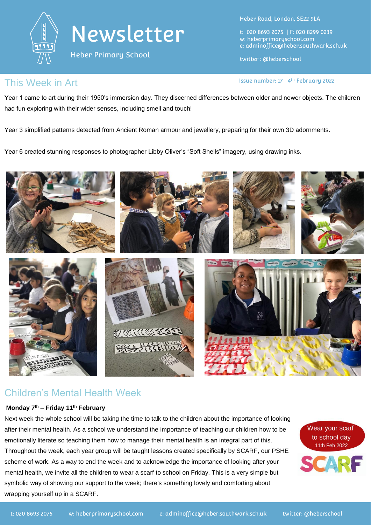



Heber Primary School

Heber Road, London, SE22 9LA

t: 020 8693 2075 | F: 020 8299 0239 w: heberprimaryschool.com e: [adminoffice@heber.southwark.sch.uk](mailto:adminoffice@heber.southwark.sch.uk)

twitter : @heberschool

Issue number: 17 4<sup>th</sup> February 2022

#### This Week in Art **Interpreterate and Container** and Issue number: 17 4

Year 1 came to art during their 1950's immersion day. They discerned differences between older and newer objects. The children had fun exploring with their wider senses, including smell and touch!

Year 3 simplified patterns detected from Ancient Roman armour and jewellery, preparing for their own 3D adornments.

Year 6 created stunning responses to photographer Libby Oliver's "Soft Shells" imagery, using drawing inks.



# Children's Mental Health Week

#### **Monday 7th – Friday 11th February**

Next week the whole school will be taking the time to talk to the children about the importance of looking after their mental health. As a school we understand the importance of teaching our children how to be emotionally literate so teaching them how to manage their mental health is an integral part of this. Throughout the week, each year group will be taught lessons created specifically by SCARF, our PSHE scheme of work. As a way to end the week and to acknowledge the importance of looking after your mental health, we invite all the children to wear a scarf to school on Friday. This is a very simple but symbolic way of showing our support to the week; there's something lovely and comforting about wrapping yourself up in a SCARF.

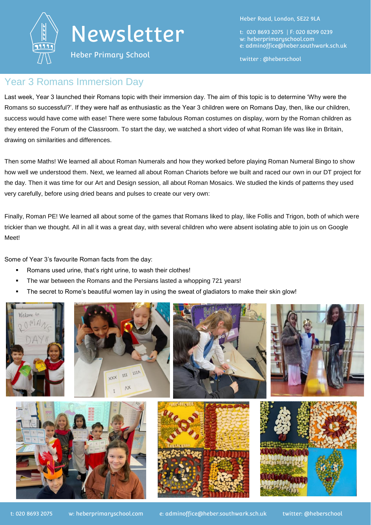

# Newsletter

Heber Primary School

Heber Road, London, SE22 9LA

t: 020 8693 2075 | F: 020 8299 0239 w: heberprimaryschool.com e: [adminoffice@heber.southwark.sch.uk](mailto:adminoffice@heber.southwark.sch.uk)

twitter : @heberschool

#### Year 3 Romans Immersion Day

Last week, Year 3 launched their Romans topic with their immersion day. The aim of this topic is to determine 'Why were the Romans so successful?'. If they were half as enthusiastic as the Year 3 children were on Romans Day, then, like our children, success would have come with ease! There were some fabulous Roman costumes on display, worn by the Roman children as they entered the Forum of the Classroom. To start the day, we watched a short video of what Roman life was like in Britain, drawing on similarities and differences.

Then some Maths! We learned all about Roman Numerals and how they worked before playing Roman Numeral Bingo to show how well we understood them. Next, we learned all about Roman Chariots before we built and raced our own in our DT project for the day. Then it was time for our Art and Design session, all about Roman Mosaics. We studied the kinds of patterns they used very carefully, before using dried beans and pulses to create our very own:

Finally, Roman PE! We learned all about some of the games that Romans liked to play, like Follis and Trigon, both of which were trickier than we thought. All in all it was a great day, with several children who were absent isolating able to join us on Google Meet!

Some of Year 3's favourite Roman facts from the day:

- Romans used urine, that's right urine, to wash their clothes!
- The war between the Romans and the Persians lasted a whopping 721 years!
- The secret to Rome's beautiful women lay in using the sweat of gladiators to make their skin glow!

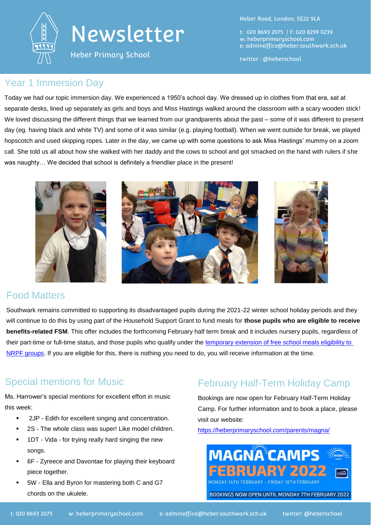

# Newsletter

Heber Primary School

Heber Road, London, SE22 9LA

t: 020 8693 2075 | F: 020 8299 0239 w: heberprimaryschool.com e: [adminoffice@heber.southwark.sch.uk](mailto:adminoffice@heber.southwark.sch.uk)

twitter : @heberschool

#### Year 1 Immersion Day

Today we had our topic immersion day. We experienced a 1950's school day. We dressed up in clothes from that era, sat at separate desks, lined up separately as girls and boys and Miss Hastings walked around the classroom with a scary wooden stick! We loved discussing the different things that we learned from our grandparents about the past – some of it was different to present day (eg. having black and white TV) and some of it was similar (e.g. playing football). When we went outside for break, we played hopscotch and used skipping ropes. Later in the day, we came up with some questions to ask Miss Hastings' mummy on a zoom call. She told us all about how she walked with her daddy and the cows to school and got smacked on the hand with rulers if she was naughty… We decided that school is definitely a friendlier place in the present!



### Food Matters

Southwark remains committed to supporting its disadvantaged pupils during the 2021-22 winter school holiday periods and they will continue to do this by using part of the Household Support Grant to fund meals for **those pupils who are eligible to receive benefits-related FSM**. This offer includes the forthcoming February half term break and it includes nursery pupils, regardless of their part-time or full-time status, and those pupils who qualify under the temporary extension of free school meals eligibility to [NRPF groups.](https://www.gov.uk/government/publications/covid-19-free-school-meals-guidance/guidance-for-the-temporary-extension-of-free-school-meals-eligibility-to-nrpf-groups) If you are eligible for this, there is nothing you need to do, you will receive information at the time.

### Special mentions for Music

Ms. Harrower's special mentions for excellent effort in music this week:

- 2JP Edith for excellent singing and concentration.
- 2S The whole class was super! Like model children.
- 1DT Vida for trying really hard singing the new songs.
- 6F Zyreece and Davontae for playing their keyboard piece together.
- 5W Ella and Byron for mastering both C and G7 chords on the ukulele.

# February Half-Term Holiday Camp

Bookings are now open for February Half-Term Holiday Camp. For further information and to book a place, please visit our website:

<https://heberprimaryschool.com/parents/magna/>